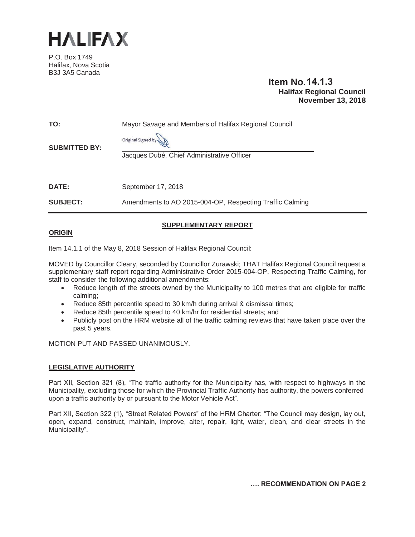

P.O. Box 1749 Halifax, Nova Scotia B3J 3A5 Canada

# **Item No. 14.1.3 Halifax Regional Council November 13, 2018**

| TO:<br><b>SUBMITTED BY:</b> | Mayor Savage and Members of Halifax Regional Council<br>Original Signed by<br>Jacques Dubé, Chief Administrative Officer |
|-----------------------------|--------------------------------------------------------------------------------------------------------------------------|
| <b>DATE:</b>                | September 17, 2018                                                                                                       |
| <b>SUBJECT:</b>             | Amendments to AO 2015-004-OP, Respecting Traffic Calming                                                                 |

### **SUPPLEMENTARY REPORT**

#### **ORIGIN**

Item 14.1.1 of the May 8, 2018 Session of Halifax Regional Council:

MOVED by Councillor Cleary, seconded by Councillor Zurawski; THAT Halifax Regional Council request a supplementary staff report regarding Administrative Order 2015-004-OP, Respecting Traffic Calming, for staff to consider the following additional amendments:

- Reduce length of the streets owned by the Municipality to 100 metres that are eligible for traffic calming;
- Reduce 85th percentile speed to 30 km/h during arrival & dismissal times;
- Reduce 85th percentile speed to 40 km/hr for residential streets; and
- Publicly post on the HRM website all of the traffic calming reviews that have taken place over the past 5 years.

MOTION PUT AND PASSED UNANIMOUSLY.

### **LEGISLATIVE AUTHORITY**

Part XII, Section 321 (8), "The traffic authority for the Municipality has, with respect to highways in the Municipality, excluding those for which the Provincial Traffic Authority has authority, the powers conferred upon a traffic authority by or pursuant to the Motor Vehicle Act".

Part XII, Section 322 (1), "Street Related Powers" of the HRM Charter: "The Council may design, lay out, open, expand, construct, maintain, improve, alter, repair, light, water, clean, and clear streets in the Municipality".

**…. RECOMMENDATION ON PAGE 2**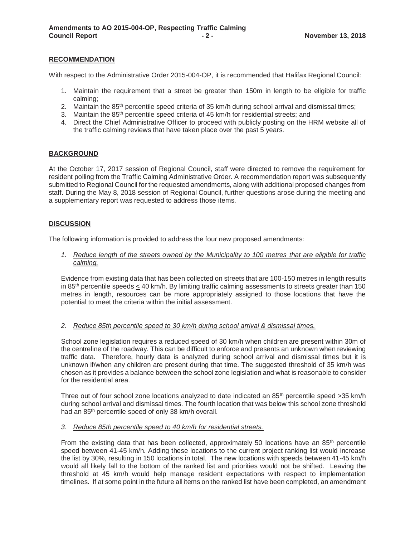#### **RECOMMENDATION**

With respect to the Administrative Order 2015-004-OP, it is recommended that Halifax Regional Council:

- 1. Maintain the requirement that a street be greater than 150m in length to be eligible for traffic calming;
- 2. Maintain the 85<sup>th</sup> percentile speed criteria of 35 km/h during school arrival and dismissal times;
- 3. Maintain the 85<sup>th</sup> percentile speed criteria of 45 km/h for residential streets; and
- 4. Direct the Chief Administrative Officer to proceed with publicly posting on the HRM website all of the traffic calming reviews that have taken place over the past 5 years.

#### **BACKGROUND**

At the October 17, 2017 session of Regional Council, staff were directed to remove the requirement for resident polling from the Traffic Calming Administrative Order. A recommendation report was subsequently submitted to Regional Council for the requested amendments, along with additional proposed changes from staff. During the May 8, 2018 session of Regional Council, further questions arose during the meeting and a supplementary report was requested to address those items.

#### **DISCUSSION**

The following information is provided to address the four new proposed amendments:

*1. Reduce length of the streets owned by the Municipality to 100 metres that are eligible for traffic calming.* 

Evidence from existing data that has been collected on streets that are 100-150 metres in length results in 85<sup>th</sup> percentile speeds  $<$  40 km/h. By limiting traffic calming assessments to streets greater than 150 metres in length, resources can be more appropriately assigned to those locations that have the potential to meet the criteria within the initial assessment.

#### *2. Reduce 85th percentile speed to 30 km/h during school arrival & dismissal times.*

School zone legislation requires a reduced speed of 30 km/h when children are present within 30m of the centreline of the roadway. This can be difficult to enforce and presents an unknown when reviewing traffic data. Therefore, hourly data is analyzed during school arrival and dismissal times but it is unknown if/when any children are present during that time. The suggested threshold of 35 km/h was chosen as it provides a balance between the school zone legislation and what is reasonable to consider for the residential area.

Three out of four school zone locations analyzed to date indicated an 85<sup>th</sup> percentile speed >35 km/h during school arrival and dismissal times. The fourth location that was below this school zone threshold had an 85th percentile speed of only 38 km/h overall.

#### *3. Reduce 85th percentile speed to 40 km/h for residential streets.*

From the existing data that has been collected, approximately 50 locations have an  $85<sup>th</sup>$  percentile speed between 41-45 km/h. Adding these locations to the current project ranking list would increase the list by 30%, resulting in 150 locations in total. The new locations with speeds between 41-45 km/h would all likely fall to the bottom of the ranked list and priorities would not be shifted. Leaving the threshold at 45 km/h would help manage resident expectations with respect to implementation timelines. If at some point in the future all items on the ranked list have been completed, an amendment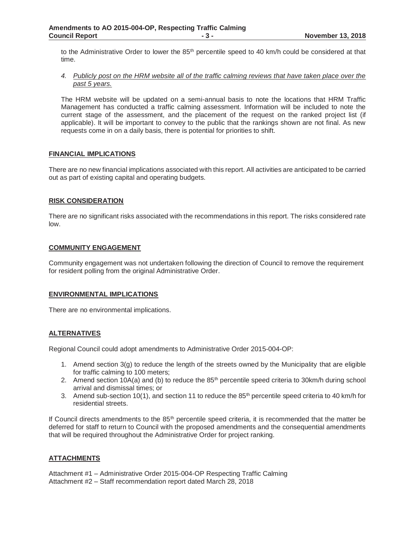to the Administrative Order to lower the  $85<sup>th</sup>$  percentile speed to 40 km/h could be considered at that time.

#### *4. Publicly post on the HRM website all of the traffic calming reviews that have taken place over the past 5 years.*

The HRM website will be updated on a semi-annual basis to note the locations that HRM Traffic Management has conducted a traffic calming assessment. Information will be included to note the current stage of the assessment, and the placement of the request on the ranked project list (if applicable). It will be important to convey to the public that the rankings shown are not final. As new requests come in on a daily basis, there is potential for priorities to shift.

#### **FINANCIAL IMPLICATIONS**

There are no new financial implications associated with this report. All activities are anticipated to be carried out as part of existing capital and operating budgets.

#### **RISK CONSIDERATION**

There are no significant risks associated with the recommendations in this report. The risks considered rate low.

#### **COMMUNITY ENGAGEMENT**

Community engagement was not undertaken following the direction of Council to remove the requirement for resident polling from the original Administrative Order.

#### **ENVIRONMENTAL IMPLICATIONS**

There are no environmental implications.

### **ALTERNATIVES**

Regional Council could adopt amendments to Administrative Order 2015-004-OP:

- 1. Amend section 3(g) to reduce the length of the streets owned by the Municipality that are eligible for traffic calming to 100 meters;
- 2. Amend section  $10A(a)$  and (b) to reduce the 85<sup>th</sup> percentile speed criteria to 30km/h during school arrival and dismissal times; or
- 3. Amend sub-section 10(1), and section 11 to reduce the  $85<sup>th</sup>$  percentile speed criteria to 40 km/h for residential streets.

If Council directs amendments to the 85<sup>th</sup> percentile speed criteria, it is recommended that the matter be deferred for staff to return to Council with the proposed amendments and the consequential amendments that will be required throughout the Administrative Order for project ranking.

### **ATTACHMENTS**

Attachment #1 – Administrative Order 2015-004-OP Respecting Traffic Calming Attachment #2 – Staff recommendation report dated March 28, 2018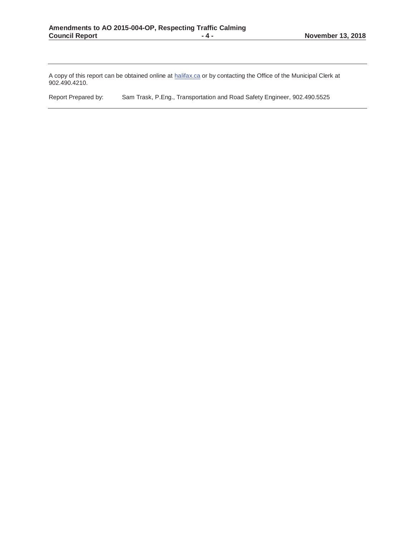A copy of this report can be obtained online at halifax.ca or by contacting the Office of the Municipal Clerk at 902.490.4210.

Report Prepared by: Sam Trask, P.Eng., Transportation and Road Safety Engineer, 902.490.5525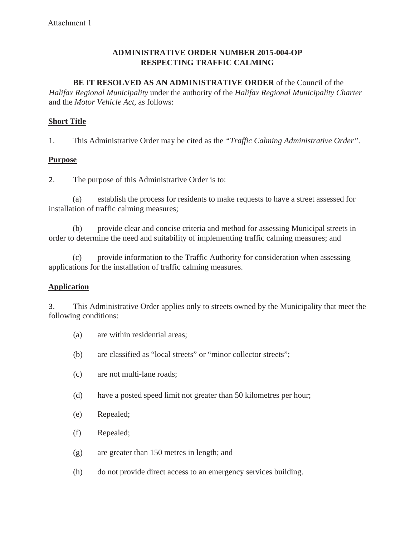# **ADMINISTRATIVE ORDER NUMBER 2015-004-OP RESPECTING TRAFFIC CALMING**

# **BE IT RESOLVED AS AN ADMINISTRATIVE ORDER** of the Council of the

*Halifax Regional Municipality* under the authority of the *Halifax Regional Municipality Charter*  and the *Motor Vehicle Act,* as follows:

# **Short Title**

1. This Administrative Order may be cited as the *"Traffic Calming Administrative Order".*

# **Purpose**

2. The purpose of this Administrative Order is to:

(a) establish the process for residents to make requests to have a street assessed for installation of traffic calming measures;

(b) provide clear and concise criteria and method for assessing Municipal streets in order to determine the need and suitability of implementing traffic calming measures; and

(c) provide information to the Traffic Authority for consideration when assessing applications for the installation of traffic calming measures.

# **Application**

3. This Administrative Order applies only to streets owned by the Municipality that meet the following conditions:

- (a) are within residential areas;
- (b) are classified as "local streets" or "minor collector streets";
- (c) are not multi-lane roads;
- (d) have a posted speed limit not greater than 50 kilometres per hour;
- (e) Repealed;
- (f) Repealed;
- (g) are greater than 150 metres in length; and
- (h) do not provide direct access to an emergency services building.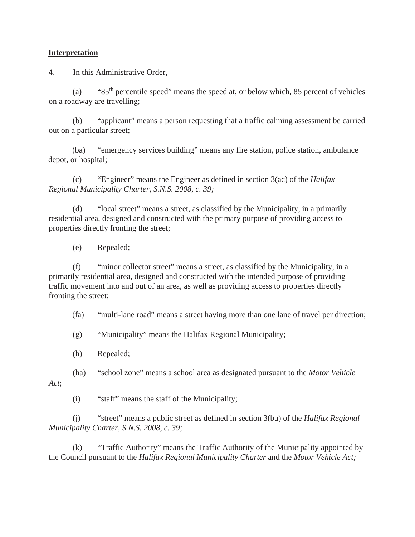### **Interpretation**

4. In this Administrative Order,

(a) " $85<sup>th</sup>$  percentile speed" means the speed at, or below which, 85 percent of vehicles on a roadway are travelling;

(b) "applicant" means a person requesting that a traffic calming assessment be carried out on a particular street;

(ba) "emergency services building" means any fire station, police station, ambulance depot, or hospital;

(c) "Engineer" means the Engineer as defined in section 3(ac) of the *Halifax Regional Municipality Charter, S.N.S. 2008, c. 39;*

(d) "local street" means a street, as classified by the Municipality, in a primarily residential area, designed and constructed with the primary purpose of providing access to properties directly fronting the street;

(e) Repealed;

(f) "minor collector street" means a street, as classified by the Municipality, in a primarily residential area, designed and constructed with the intended purpose of providing traffic movement into and out of an area, as well as providing access to properties directly fronting the street;

(fa) "multi-lane road" means a street having more than one lane of travel per direction;

(g) "Municipality" means the Halifax Regional Municipality;

(h) Repealed;

(ha) "school zone" means a school area as designated pursuant to the *Motor Vehicle* 

*Act*;

(i) "staff" means the staff of the Municipality;

(j) "street" means a public street as defined in section 3(bu) of the *Halifax Regional Municipality Charter, S.N.S. 2008, c. 39;*

(k) "Traffic Authority" means the Traffic Authority of the Municipality appointed by the Council pursuant to the *Halifax Regional Municipality Charter* and the *Motor Vehicle Act;*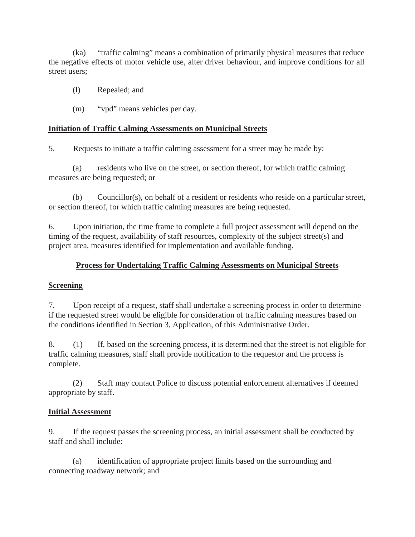(ka) "traffic calming" means a combination of primarily physical measures that reduce the negative effects of motor vehicle use, alter driver behaviour, and improve conditions for all street users;

- (l) Repealed; and
- (m) "vpd" means vehicles per day.

## **Initiation of Traffic Calming Assessments on Municipal Streets**

5. Requests to initiate a traffic calming assessment for a street may be made by:

(a) residents who live on the street, or section thereof, for which traffic calming measures are being requested; or

(b) Councillor(s), on behalf of a resident or residents who reside on a particular street, or section thereof, for which traffic calming measures are being requested.

6. Upon initiation, the time frame to complete a full project assessment will depend on the timing of the request, availability of staff resources, complexity of the subject street(s) and project area, measures identified for implementation and available funding.

# **Process for Undertaking Traffic Calming Assessments on Municipal Streets**

## **Screening**

7. Upon receipt of a request, staff shall undertake a screening process in order to determine if the requested street would be eligible for consideration of traffic calming measures based on the conditions identified in Section 3, Application, of this Administrative Order.

8. (1) If, based on the screening process, it is determined that the street is not eligible for traffic calming measures, staff shall provide notification to the requestor and the process is complete.

(2) Staff may contact Police to discuss potential enforcement alternatives if deemed appropriate by staff.

## **Initial Assessment**

9. If the request passes the screening process, an initial assessment shall be conducted by staff and shall include:

(a) identification of appropriate project limits based on the surrounding and connecting roadway network; and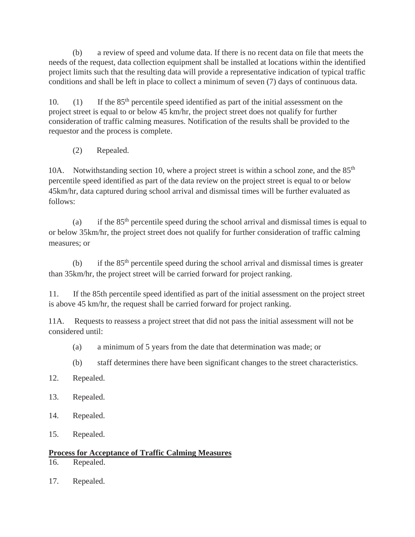(b) a review of speed and volume data. If there is no recent data on file that meets the needs of the request, data collection equipment shall be installed at locations within the identified project limits such that the resulting data will provide a representative indication of typical traffic conditions and shall be left in place to collect a minimum of seven (7) days of continuous data.

10. (1) If the 85<sup>th</sup> percentile speed identified as part of the initial assessment on the project street is equal to or below 45 km/hr, the project street does not qualify for further consideration of traffic calming measures. Notification of the results shall be provided to the requestor and the process is complete.

(2) Repealed.

10A. Notwithstanding section 10, where a project street is within a school zone, and the  $85<sup>th</sup>$ percentile speed identified as part of the data review on the project street is equal to or below 45km/hr, data captured during school arrival and dismissal times will be further evaluated as follows:

(a) if the  $85<sup>th</sup>$  percentile speed during the school arrival and dismissal times is equal to or below 35km/hr, the project street does not qualify for further consideration of traffic calming measures; or

(b) if the  $85<sup>th</sup>$  percentile speed during the school arrival and dismissal times is greater than 35km/hr, the project street will be carried forward for project ranking.

11. If the 85th percentile speed identified as part of the initial assessment on the project street is above 45 km/hr, the request shall be carried forward for project ranking.

11A. Requests to reassess a project street that did not pass the initial assessment will not be considered until:

- (a) a minimum of 5 years from the date that determination was made; or
- (b) staff determines there have been significant changes to the street characteristics.
- 12. Repealed.
- 13. Repealed.
- 14. Repealed.
- 15. Repealed.

# **Process for Acceptance of Traffic Calming Measures**

- 16. Repealed.
- 17. Repealed.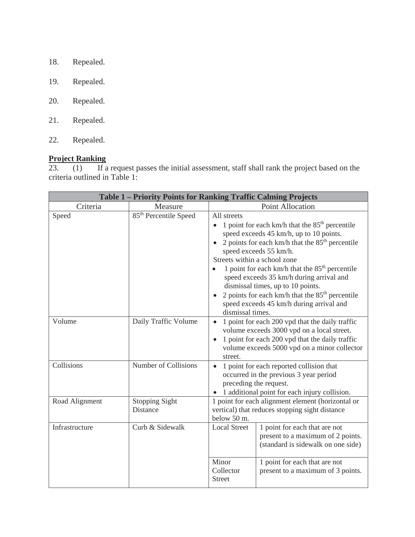- 18. Repealed.
- 19. Repealed.
- 20. Repealed.
- 21. Repealed.
- 22. Repealed.

# **Project Ranking**

23. (1) If a request passes the initial assessment, staff shall rank the project based on the criteria outlined in Table 1:

| Table 1 – Priority Points for Ranking Traffic Calming Projects |                                          |                                                                                                                                                                                                                                                                                                                                                                                                                                                                                                  |                                                                                                                                                                                                  |  |
|----------------------------------------------------------------|------------------------------------------|--------------------------------------------------------------------------------------------------------------------------------------------------------------------------------------------------------------------------------------------------------------------------------------------------------------------------------------------------------------------------------------------------------------------------------------------------------------------------------------------------|--------------------------------------------------------------------------------------------------------------------------------------------------------------------------------------------------|--|
| Criteria                                                       | Measure                                  | Point Allocation                                                                                                                                                                                                                                                                                                                                                                                                                                                                                 |                                                                                                                                                                                                  |  |
| Speed                                                          | 85 <sup>th</sup> Percentile Speed        | All streets<br>1 point for each km/h that the $85th$ percentile<br>$\bullet$<br>speed exceeds 45 km/h, up to 10 points.<br>2 points for each km/h that the $85th$ percentile<br>speed exceeds 55 km/h.<br>Streets within a school zone<br>1 point for each km/h that the $85th$ percentile<br>speed exceeds 35 km/h during arrival and<br>dismissal times, up to 10 points.<br>2 points for each km/h that the $85th$ percentile<br>speed exceeds 45 km/h during arrival and<br>dismissal times. |                                                                                                                                                                                                  |  |
| Volume                                                         | Daily Traffic Volume                     | $\bullet$<br>$\bullet$<br>street.                                                                                                                                                                                                                                                                                                                                                                                                                                                                | 1 point for each 200 vpd that the daily traffic<br>volume exceeds 3000 vpd on a local street.<br>1 point for each 200 vpd that the daily traffic<br>volume exceeds 5000 vpd on a minor collector |  |
| Collisions                                                     | Number of Collisions                     | 1 point for each reported collision that<br>$\bullet$<br>occurred in the previous 3 year period<br>preceding the request.<br>1 additional point for each injury collision.                                                                                                                                                                                                                                                                                                                       |                                                                                                                                                                                                  |  |
| Road Alignment                                                 | <b>Stopping Sight</b><br><b>Distance</b> | 1 point for each alignment element (horizontal or<br>vertical) that reduces stopping sight distance<br>below 50 m.                                                                                                                                                                                                                                                                                                                                                                               |                                                                                                                                                                                                  |  |
| Infrastructure                                                 | Curb & Sidewalk                          | <b>Local Street</b>                                                                                                                                                                                                                                                                                                                                                                                                                                                                              | 1 point for each that are not<br>present to a maximum of 2 points.<br>(standard is sidewalk on one side)                                                                                         |  |
|                                                                |                                          | Minor<br>Collector<br><b>Street</b>                                                                                                                                                                                                                                                                                                                                                                                                                                                              | 1 point for each that are not<br>present to a maximum of 3 points.                                                                                                                               |  |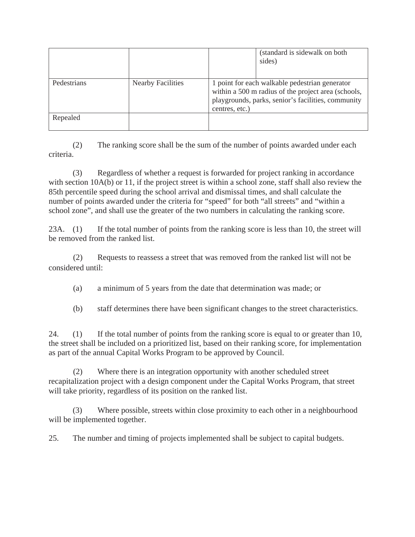|             |                          |                | (standard is sidewalk on both)<br>sides)                                                                                                                    |
|-------------|--------------------------|----------------|-------------------------------------------------------------------------------------------------------------------------------------------------------------|
| Pedestrians | <b>Nearby Facilities</b> | centres, etc.) | 1 point for each walkable pedestrian generator<br>within a 500 m radius of the project area (schools,<br>playgrounds, parks, senior's facilities, community |
| Repealed    |                          |                |                                                                                                                                                             |

 (2) The ranking score shall be the sum of the number of points awarded under each criteria.

 (3) Regardless of whether a request is forwarded for project ranking in accordance with section 10A(b) or 11, if the project street is within a school zone, staff shall also review the 85th percentile speed during the school arrival and dismissal times, and shall calculate the number of points awarded under the criteria for "speed" for both "all streets" and "within a school zone", and shall use the greater of the two numbers in calculating the ranking score.

23A. (1) If the total number of points from the ranking score is less than 10, the street will be removed from the ranked list.

 (2) Requests to reassess a street that was removed from the ranked list will not be considered until:

- (a) a minimum of 5 years from the date that determination was made; or
- (b) staff determines there have been significant changes to the street characteristics.

24. (1) If the total number of points from the ranking score is equal to or greater than 10, the street shall be included on a prioritized list, based on their ranking score, for implementation as part of the annual Capital Works Program to be approved by Council.

 (2) Where there is an integration opportunity with another scheduled street recapitalization project with a design component under the Capital Works Program, that street will take priority, regardless of its position on the ranked list.

 (3) Where possible, streets within close proximity to each other in a neighbourhood will be implemented together.

25. The number and timing of projects implemented shall be subject to capital budgets.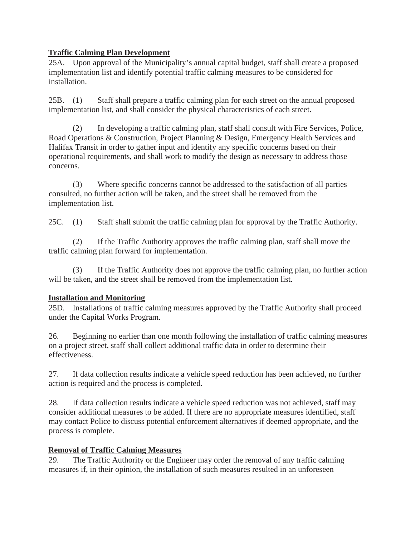# **Traffic Calming Plan Development**

25A. Upon approval of the Municipality's annual capital budget, staff shall create a proposed implementation list and identify potential traffic calming measures to be considered for installation.

25B. (1) Staff shall prepare a traffic calming plan for each street on the annual proposed implementation list, and shall consider the physical characteristics of each street.

 (2) In developing a traffic calming plan, staff shall consult with Fire Services, Police, Road Operations & Construction, Project Planning & Design, Emergency Health Services and Halifax Transit in order to gather input and identify any specific concerns based on their operational requirements, and shall work to modify the design as necessary to address those concerns.

 (3) Where specific concerns cannot be addressed to the satisfaction of all parties consulted, no further action will be taken, and the street shall be removed from the implementation list.

25C. (1) Staff shall submit the traffic calming plan for approval by the Traffic Authority.

 (2) If the Traffic Authority approves the traffic calming plan, staff shall move the traffic calming plan forward for implementation.

 (3) If the Traffic Authority does not approve the traffic calming plan, no further action will be taken, and the street shall be removed from the implementation list.

# **Installation and Monitoring**

25D. Installations of traffic calming measures approved by the Traffic Authority shall proceed under the Capital Works Program.

26. Beginning no earlier than one month following the installation of traffic calming measures on a project street, staff shall collect additional traffic data in order to determine their effectiveness.

27. If data collection results indicate a vehicle speed reduction has been achieved, no further action is required and the process is completed.

28. If data collection results indicate a vehicle speed reduction was not achieved, staff may consider additional measures to be added. If there are no appropriate measures identified, staff may contact Police to discuss potential enforcement alternatives if deemed appropriate, and the process is complete.

# **Removal of Traffic Calming Measures**

29. The Traffic Authority or the Engineer may order the removal of any traffic calming measures if, in their opinion, the installation of such measures resulted in an unforeseen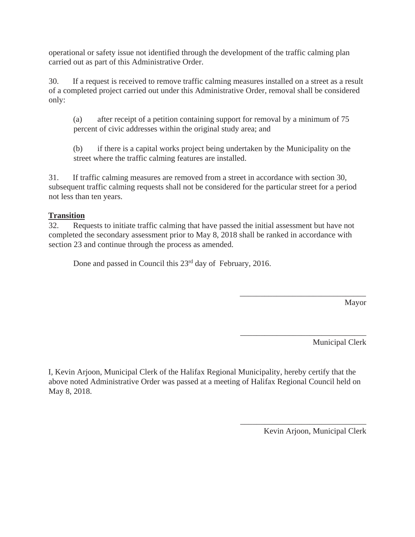operational or safety issue not identified through the development of the traffic calming plan carried out as part of this Administrative Order.

30. If a request is received to remove traffic calming measures installed on a street as a result of a completed project carried out under this Administrative Order, removal shall be considered only:

(a) after receipt of a petition containing support for removal by a minimum of 75 percent of civic addresses within the original study area; and

(b) if there is a capital works project being undertaken by the Municipality on the street where the traffic calming features are installed.

31. If traffic calming measures are removed from a street in accordance with section 30, subsequent traffic calming requests shall not be considered for the particular street for a period not less than ten years.

# **Transition**

32. Requests to initiate traffic calming that have passed the initial assessment but have not completed the secondary assessment prior to May 8, 2018 shall be ranked in accordance with section 23 and continue through the process as amended.

Done and passed in Council this 23<sup>rd</sup> day of February, 2016.

Mayor

Municipal Clerk

I, Kevin Arjoon, Municipal Clerk of the Halifax Regional Municipality, hereby certify that the above noted Administrative Order was passed at a meeting of Halifax Regional Council held on May 8, 2018.

Kevin Arjoon, Municipal Clerk

\_\_\_\_\_\_\_\_\_\_\_\_\_\_\_\_\_\_\_\_\_\_\_\_\_\_\_\_\_\_\_

\_\_\_\_\_\_\_\_\_\_\_\_\_\_\_\_\_\_\_\_\_\_\_\_\_\_\_\_\_\_\_

\_\_\_\_\_\_\_\_\_\_\_\_\_\_\_\_\_\_\_\_\_\_\_\_\_\_\_\_\_\_\_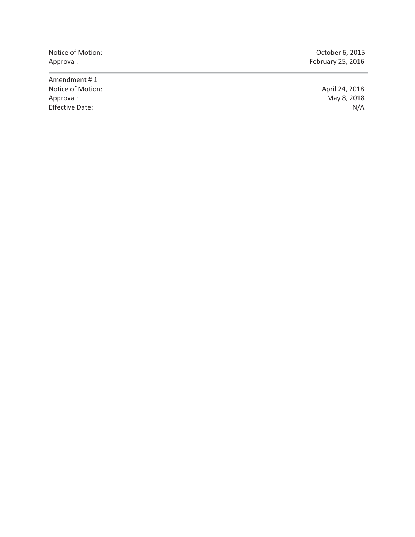Notice of Motion: Changes of Motion: Changes of Motion: Changes of Motion: Changes of Motion: Changes of Motion

Amendment # 1 Notice of Motion: Approval: Approval: Approval: Approval: Approval: Approval: Approval: Approval: Approval: Approval: Approval: Approval: Approval: Approval: Approval: Approval: Approval: Approval: Approval: Approval: Appr Effective Date:

Approval: February 25, 2016

May 8, 2018<br>N/A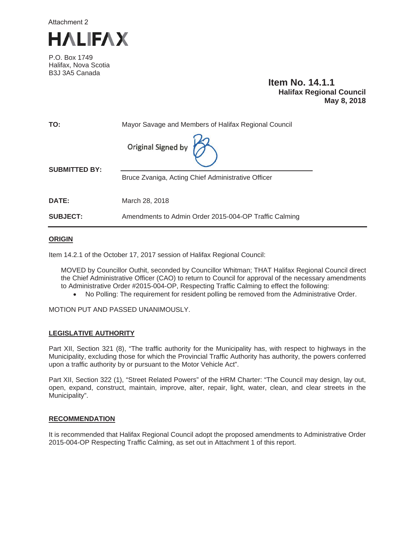

P.O. Box 1749 Halifax, Nova Scotia B3J 3A5 Canada

## **Item No. 14.1.1 Halifax Regional Council May 8, 2018**

| TO:                  | Mayor Savage and Members of Halifax Regional Council  |  |  |
|----------------------|-------------------------------------------------------|--|--|
|                      | Original Signed by $\left  \right\rangle$             |  |  |
| <b>SUBMITTED BY:</b> | Bruce Zvaniga, Acting Chief Administrative Officer    |  |  |
|                      |                                                       |  |  |
| <b>DATE:</b>         | March 28, 2018                                        |  |  |
| <b>SUBJECT:</b>      | Amendments to Admin Order 2015-004-OP Traffic Calming |  |  |

#### **ORIGIN**

Item 14.2.1 of the October 17, 2017 session of Halifax Regional Council:

MOVED by Councillor Outhit, seconded by Councillor Whitman; THAT Halifax Regional Council direct the Chief Administrative Officer (CAO) to return to Council for approval of the necessary amendments to Administrative Order #2015-004-OP, Respecting Traffic Calming to effect the following:

• No Polling: The requirement for resident polling be removed from the Administrative Order.

MOTION PUT AND PASSED UNANIMOUSLY.

#### **LEGISLATIVE AUTHORITY**

Part XII, Section 321 (8), "The traffic authority for the Municipality has, with respect to highways in the Municipality, excluding those for which the Provincial Traffic Authority has authority, the powers conferred upon a traffic authority by or pursuant to the Motor Vehicle Act".

Part XII, Section 322 (1), "Street Related Powers" of the HRM Charter: "The Council may design, lay out, open, expand, construct, maintain, improve, alter, repair, light, water, clean, and clear streets in the Municipality".

#### **RECOMMENDATION**

It is recommended that Halifax Regional Council adopt the proposed amendments to Administrative Order 2015-004-OP Respecting Traffic Calming, as set out in Attachment 1 of this report.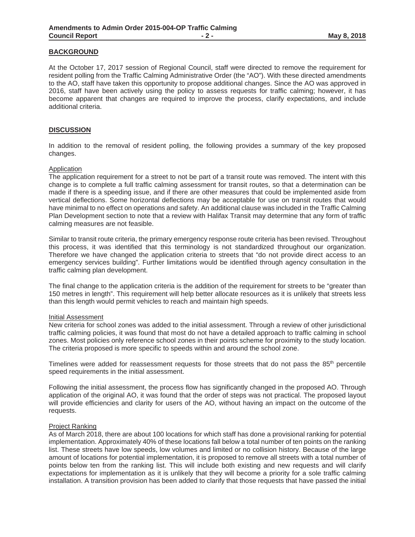#### **BACKGROUND**

At the October 17, 2017 session of Regional Council, staff were directed to remove the requirement for resident polling from the Traffic Calming Administrative Order (the "AO"). With these directed amendments to the AO, staff have taken this opportunity to propose additional changes. Since the AO was approved in 2016, staff have been actively using the policy to assess requests for traffic calming; however, it has become apparent that changes are required to improve the process, clarify expectations, and include additional criteria.

#### **DISCUSSION**

In addition to the removal of resident polling, the following provides a summary of the key proposed changes.

#### Application

The application requirement for a street to not be part of a transit route was removed. The intent with this change is to complete a full traffic calming assessment for transit routes, so that a determination can be made if there is a speeding issue, and if there are other measures that could be implemented aside from vertical deflections. Some horizontal deflections may be acceptable for use on transit routes that would have minimal to no effect on operations and safety. An additional clause was included in the Traffic Calming Plan Development section to note that a review with Halifax Transit may determine that any form of traffic calming measures are not feasible.

Similar to transit route criteria, the primary emergency response route criteria has been revised. Throughout this process, it was identified that this terminology is not standardized throughout our organization. Therefore we have changed the application criteria to streets that "do not provide direct access to an emergency services building". Further limitations would be identified through agency consultation in the traffic calming plan development.

The final change to the application criteria is the addition of the requirement for streets to be "greater than 150 metres in length". This requirement will help better allocate resources as it is unlikely that streets less than this length would permit vehicles to reach and maintain high speeds.

#### Initial Assessment

New criteria for school zones was added to the initial assessment. Through a review of other jurisdictional traffic calming policies, it was found that most do not have a detailed approach to traffic calming in school zones. Most policies only reference school zones in their points scheme for proximity to the study location. The criteria proposed is more specific to speeds within and around the school zone.

Timelines were added for reassessment requests for those streets that do not pass the  $85<sup>th</sup>$  percentile speed requirements in the initial assessment.

Following the initial assessment, the process flow has significantly changed in the proposed AO. Through application of the original AO, it was found that the order of steps was not practical. The proposed layout will provide efficiencies and clarity for users of the AO, without having an impact on the outcome of the requests.

#### Project Ranking

As of March 2018, there are about 100 locations for which staff has done a provisional ranking for potential implementation. Approximately 40% of these locations fall below a total number of ten points on the ranking list. These streets have low speeds, low volumes and limited or no collision history. Because of the large amount of locations for potential implementation, it is proposed to remove all streets with a total number of points below ten from the ranking list. This will include both existing and new requests and will clarify expectations for implementation as it is unlikely that they will become a priority for a sole traffic calming installation. A transition provision has been added to clarify that those requests that have passed the initial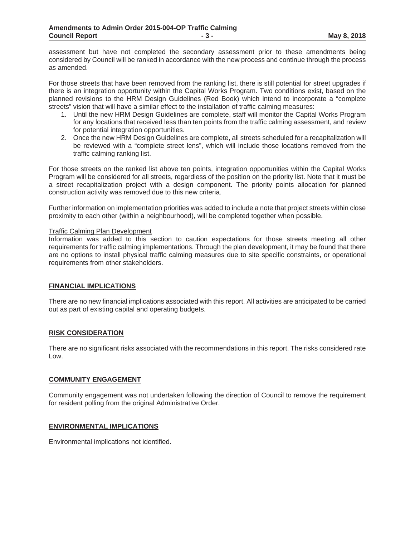assessment but have not completed the secondary assessment prior to these amendments being considered by Council will be ranked in accordance with the new process and continue through the process as amended.

For those streets that have been removed from the ranking list, there is still potential for street upgrades if there is an integration opportunity within the Capital Works Program. Two conditions exist, based on the planned revisions to the HRM Design Guidelines (Red Book) which intend to incorporate a "complete streets" vision that will have a similar effect to the installation of traffic calming measures:

- 1. Until the new HRM Design Guidelines are complete, staff will monitor the Capital Works Program for any locations that received less than ten points from the traffic calming assessment, and review for potential integration opportunities.
- 2. Once the new HRM Design Guidelines are complete, all streets scheduled for a recapitalization will be reviewed with a "complete street lens", which will include those locations removed from the traffic calming ranking list.

For those streets on the ranked list above ten points, integration opportunities within the Capital Works Program will be considered for all streets, regardless of the position on the priority list. Note that it must be a street recapitalization project with a design component. The priority points allocation for planned construction activity was removed due to this new criteria.

Further information on implementation priorities was added to include a note that project streets within close proximity to each other (within a neighbourhood), will be completed together when possible.

#### Traffic Calming Plan Development

Information was added to this section to caution expectations for those streets meeting all other requirements for traffic calming implementations. Through the plan development, it may be found that there are no options to install physical traffic calming measures due to site specific constraints, or operational requirements from other stakeholders.

#### **FINANCIAL IMPLICATIONS**

There are no new financial implications associated with this report. All activities are anticipated to be carried out as part of existing capital and operating budgets.

#### **RISK CONSIDERATION**

There are no significant risks associated with the recommendations in this report. The risks considered rate Low.

#### **COMMUNITY ENGAGEMENT**

Community engagement was not undertaken following the direction of Council to remove the requirement for resident polling from the original Administrative Order.

#### **ENVIRONMENTAL IMPLICATIONS**

Environmental implications not identified.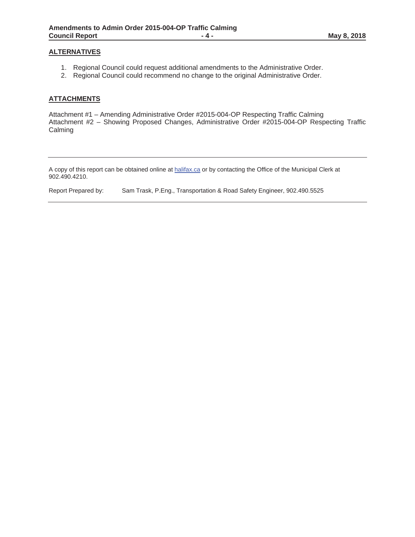### **ALTERNATIVES**

- 1. Regional Council could request additional amendments to the Administrative Order.
- 2. Regional Council could recommend no change to the original Administrative Order.

### **ATTACHMENTS**

Attachment #1 – Amending Administrative Order #2015-004-OP Respecting Traffic Calming Attachment #2 – Showing Proposed Changes, Administrative Order #2015-004-OP Respecting Traffic Calming

A copy of this report can be obtained online at halifax.ca or by contacting the Office of the Municipal Clerk at 902.490.4210.

Report Prepared by: Sam Trask, P.Eng., Transportation & Road Safety Engineer, 902.490.5525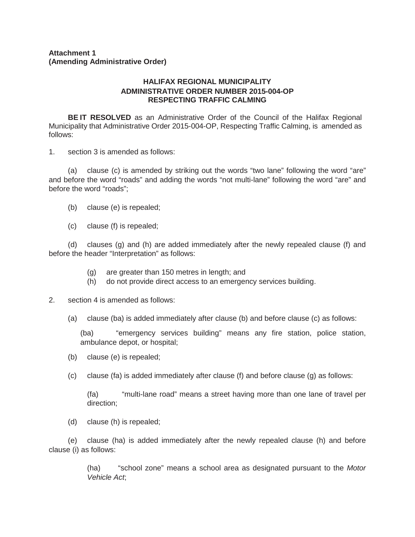### **Attachment 1 (Amending Administrative Order)**

### **HALIFAX REGIONAL MUNICIPALITY ADMINISTRATIVE ORDER NUMBER 2015-004-OP RESPECTING TRAFFIC CALMING**

**BE IT RESOLVED** as an Administrative Order of the Council of the Halifax Regional Municipality that Administrative Order 2015-004-OP, Respecting Traffic Calming, is amended as follows:

1. section 3 is amended as follows:

(a) clause (c) is amended by striking out the words "two lane" following the word "are" and before the word "roads" and adding the words "not multi-lane" following the word "are" and before the word "roads";

- (b) clause (e) is repealed;
- (c) clause (f) is repealed;

(d) clauses (g) and (h) are added immediately after the newly repealed clause (f) and before the header "Interpretation" as follows:

- (g) are greater than 150 metres in length; and
- (h) do not provide direct access to an emergency services building.
- 2. section 4 is amended as follows:
	- (a) clause (ba) is added immediately after clause (b) and before clause (c) as follows:

(ba) "emergency services building" means any fire station, police station, ambulance depot, or hospital;

- (b) clause (e) is repealed;
- (c) clause (fa) is added immediately after clause (f) and before clause (g) as follows:

(fa) "multi-lane road" means a street having more than one lane of travel per direction;

(d) clause (h) is repealed;

(e) clause (ha) is added immediately after the newly repealed clause (h) and before clause (i) as follows:

> (ha) "school zone" means a school area as designated pursuant to the *Motor Vehicle Act*;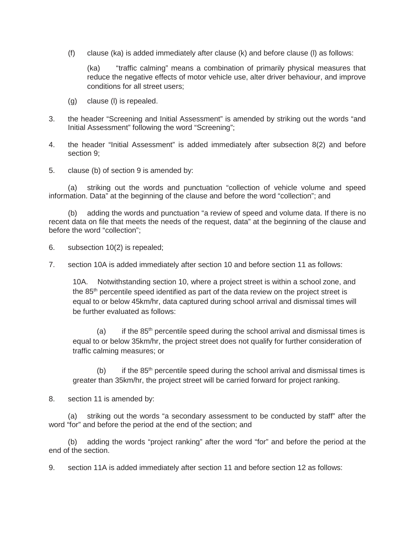(f) clause (ka) is added immediately after clause (k) and before clause (l) as follows:

(ka) "traffic calming" means a combination of primarily physical measures that reduce the negative effects of motor vehicle use, alter driver behaviour, and improve conditions for all street users;

- (g) clause (l) is repealed.
- 3. the header "Screening and Initial Assessment" is amended by striking out the words "and Initial Assessment" following the word "Screening";
- 4. the header "Initial Assessment" is added immediately after subsection 8(2) and before section 9;
- 5. clause (b) of section 9 is amended by:

(a) striking out the words and punctuation "collection of vehicle volume and speed information. Data" at the beginning of the clause and before the word "collection"; and

(b) adding the words and punctuation "a review of speed and volume data. If there is no recent data on file that meets the needs of the request, data" at the beginning of the clause and before the word "collection";

6. subsection 10(2) is repealed;

7. section 10A is added immediately after section 10 and before section 11 as follows:

10A. Notwithstanding section 10, where a project street is within a school zone, and the 85<sup>th</sup> percentile speed identified as part of the data review on the project street is equal to or below 45km/hr, data captured during school arrival and dismissal times will be further evaluated as follows:

(a) if the  $85<sup>th</sup>$  percentile speed during the school arrival and dismissal times is equal to or below 35km/hr, the project street does not qualify for further consideration of traffic calming measures; or

(b) if the  $85<sup>th</sup>$  percentile speed during the school arrival and dismissal times is greater than 35km/hr, the project street will be carried forward for project ranking.

8. section 11 is amended by:

(a) striking out the words "a secondary assessment to be conducted by staff" after the word "for" and before the period at the end of the section; and

(b) adding the words "project ranking" after the word "for" and before the period at the end of the section.

9. section 11A is added immediately after section 11 and before section 12 as follows: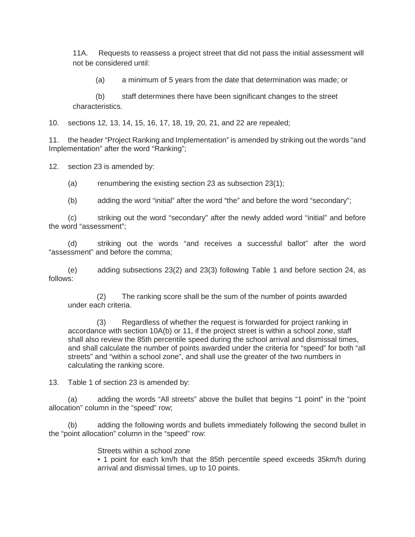11A. Requests to reassess a project street that did not pass the initial assessment will not be considered until:

(a) a minimum of 5 years from the date that determination was made; or

 (b) staff determines there have been significant changes to the street characteristics.

10. sections 12, 13, 14, 15, 16, 17, 18, 19, 20, 21, and 22 are repealed;

11. the header "Project Ranking and Implementation" is amended by striking out the words "and Implementation" after the word "Ranking";

12. section 23 is amended by:

(a) renumbering the existing section 23 as subsection 23(1);

(b) adding the word "initial" after the word "the" and before the word "secondary";

(c) striking out the word "secondary" after the newly added word "initial" and before the word "assessment";

(d) striking out the words "and receives a successful ballot" after the word "assessment" and before the comma;

(e) adding subsections 23(2) and 23(3) following Table 1 and before section 24, as follows:

(2) The ranking score shall be the sum of the number of points awarded under each criteria.

(3) Regardless of whether the request is forwarded for project ranking in accordance with section 10A(b) or 11, if the project street is within a school zone, staff shall also review the 85th percentile speed during the school arrival and dismissal times, and shall calculate the number of points awarded under the criteria for "speed" for both "all streets" and "within a school zone", and shall use the greater of the two numbers in calculating the ranking score.

13. Table 1 of section 23 is amended by:

(a) adding the words "All streets" above the bullet that begins "1 point" in the "point allocation" column in the "speed" row;

(b) adding the following words and bullets immediately following the second bullet in the "point allocation" column in the "speed" row:

Streets within a school zone

• 1 point for each km/h that the 85th percentile speed exceeds 35km/h during arrival and dismissal times, up to 10 points.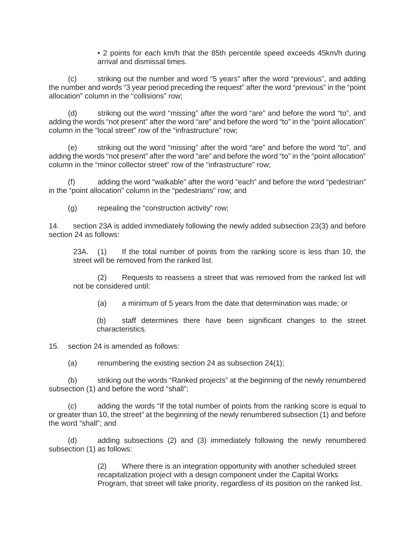• 2 points for each km/h that the 85th percentile speed exceeds 45km/h during arrival and dismissal times.

(c) striking out the number and word "5 years" after the word "previous", and adding the number and words "3 year period preceding the request" after the word "previous" in the "point allocation" column in the "collisions" row;

(d) striking out the word "missing" after the word "are" and before the word "to", and adding the words "not present" after the word "are" and before the word "to" in the "point allocation" column in the "local street" row of the "infrastructure" row;

(e) striking out the word "missing" after the word "are" and before the word "to", and adding the words "not present" after the word "are" and before the word "to" in the "point allocation" column in the "minor collector street" row of the "infrastructure" row;

adding the word "walkable" after the word "each" and before the word "pedestrian" in the "point allocation" column in the "pedestrians" row; and

(g) repealing the "construction activity" row;

14. section 23A is added immediately following the newly added subsection 23(3) and before section 24 as follows:

23A. (1) If the total number of points from the ranking score is less than 10, the street will be removed from the ranked list.

(2) Requests to reassess a street that was removed from the ranked list will not be considered until:

(a) a minimum of 5 years from the date that determination was made; or

(b) staff determines there have been significant changes to the street characteristics.

15. section 24 is amended as follows:

(a) renumbering the existing section 24 as subsection  $24(1)$ ;

(b) striking out the words "Ranked projects" at the beginning of the newly renumbered subsection (1) and before the word "shall";

(c) adding the words "If the total number of points from the ranking score is equal to or greater than 10, the street" at the beginning of the newly renumbered subsection (1) and before the word "shall"; and

(d) adding subsections (2) and (3) immediately following the newly renumbered subsection (1) as follows:

> (2) Where there is an integration opportunity with another scheduled street recapitalization project with a design component under the Capital Works Program, that street will take priority, regardless of its position on the ranked list.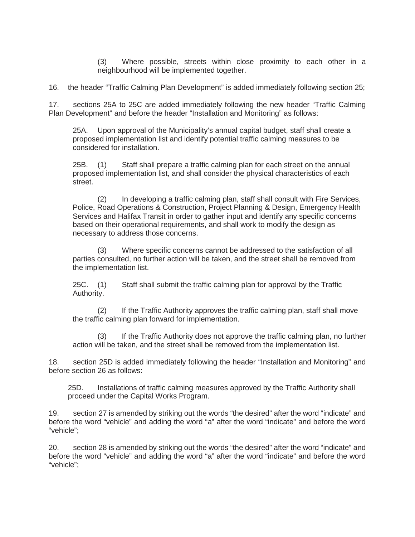(3) Where possible, streets within close proximity to each other in a neighbourhood will be implemented together.

16. the header "Traffic Calming Plan Development" is added immediately following section 25;

17. sections 25A to 25C are added immediately following the new header "Traffic Calming Plan Development" and before the header "Installation and Monitoring" as follows:

25A. Upon approval of the Municipality's annual capital budget, staff shall create a proposed implementation list and identify potential traffic calming measures to be considered for installation.

25B. (1) Staff shall prepare a traffic calming plan for each street on the annual proposed implementation list, and shall consider the physical characteristics of each street.

(2) In developing a traffic calming plan, staff shall consult with Fire Services, Police, Road Operations & Construction, Project Planning & Design, Emergency Health Services and Halifax Transit in order to gather input and identify any specific concerns based on their operational requirements, and shall work to modify the design as necessary to address those concerns.

(3) Where specific concerns cannot be addressed to the satisfaction of all parties consulted, no further action will be taken, and the street shall be removed from the implementation list.

25C. (1) Staff shall submit the traffic calming plan for approval by the Traffic Authority.

(2) If the Traffic Authority approves the traffic calming plan, staff shall move the traffic calming plan forward for implementation.

(3) If the Traffic Authority does not approve the traffic calming plan, no further action will be taken, and the street shall be removed from the implementation list.

18. section 25D is added immediately following the header "Installation and Monitoring" and before section 26 as follows:

25D. Installations of traffic calming measures approved by the Traffic Authority shall proceed under the Capital Works Program.

19. section 27 is amended by striking out the words "the desired" after the word "indicate" and before the word "vehicle" and adding the word "a" after the word "indicate" and before the word "vehicle";

20. section 28 is amended by striking out the words "the desired" after the word "indicate" and before the word "vehicle" and adding the word "a" after the word "indicate" and before the word "vehicle";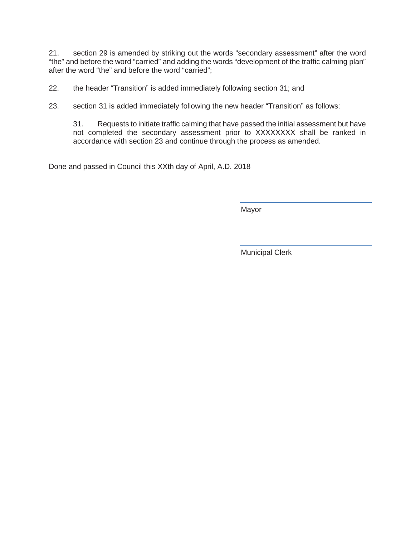21. section 29 is amended by striking out the words "secondary assessment" after the word "the" and before the word "carried" and adding the words "development of the traffic calming plan" after the word "the" and before the word "carried";

22. the header "Transition" is added immediately following section 31; and

23. section 31 is added immediately following the new header "Transition" as follows:

31. Requests to initiate traffic calming that have passed the initial assessment but have not completed the secondary assessment prior to XXXXXXXX shall be ranked in accordance with section 23 and continue through the process as amended.

Done and passed in Council this XXth day of April, A.D. 2018

Mayor

Municipal Clerk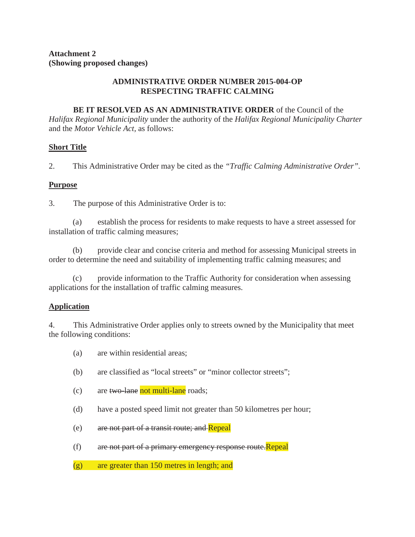## **ADMINISTRATIVE ORDER NUMBER 2015-004-OP RESPECTING TRAFFIC CALMING**

**BE IT RESOLVED AS AN ADMINISTRATIVE ORDER** of the Council of the *Halifax Regional Municipality* under the authority of the *Halifax Regional Municipality Charter*  and the *Motor Vehicle Act,* as follows:

## **Short Title**

2. This Administrative Order may be cited as the *"Traffic Calming Administrative Order".*

## **Purpose**

3. The purpose of this Administrative Order is to:

(a) establish the process for residents to make requests to have a street assessed for installation of traffic calming measures;

(b) provide clear and concise criteria and method for assessing Municipal streets in order to determine the need and suitability of implementing traffic calming measures; and

(c) provide information to the Traffic Authority for consideration when assessing applications for the installation of traffic calming measures.

# **Application**

4. This Administrative Order applies only to streets owned by the Municipality that meet the following conditions:

- (a) are within residential areas;
- (b) are classified as "local streets" or "minor collector streets";
- (c) are  $two$ -lane not multi-lane roads;
- (d) have a posted speed limit not greater than 50 kilometres per hour;
- (e) are not part of a transit route; and Repeal
- (f) are not part of a primary emergency response route. Repeal
- (g) are greater than 150 metres in length; and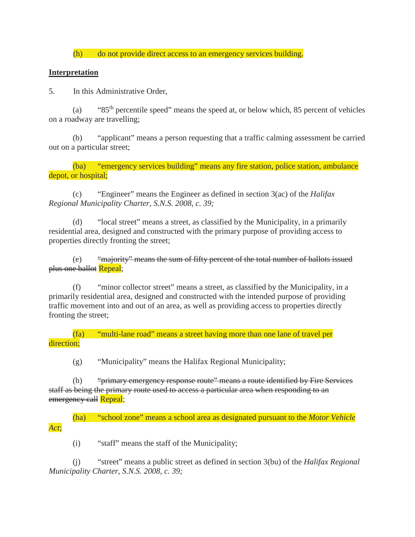(h) do not provide direct access to an emergency services building.

## **Interpretation**

5. In this Administrative Order,

(a) " $85<sup>th</sup>$  percentile speed" means the speed at, or below which, 85 percent of vehicles on a roadway are travelling;

(b) "applicant" means a person requesting that a traffic calming assessment be carried out on a particular street;

(ba) "emergency services building" means any fire station, police station, ambulance depot, or hospital;

(c) "Engineer" means the Engineer as defined in section 3(ac) of the *Halifax Regional Municipality Charter, S.N.S. 2008, c. 39;*

(d) "local street" means a street, as classified by the Municipality, in a primarily residential area, designed and constructed with the primary purpose of providing access to properties directly fronting the street;

(e) "majority" means the sum of fifty percent of the total number of ballots issued plus one ballot Repeal;

(f) "minor collector street" means a street, as classified by the Municipality, in a primarily residential area, designed and constructed with the intended purpose of providing traffic movement into and out of an area, as well as providing access to properties directly fronting the street;

(fa) "multi-lane road" means a street having more than one lane of travel per direction;

(g) "Municipality" means the Halifax Regional Municipality;

(h) "primary emergency response route" means a route identified by Fire Services staff as being the primary route used to access a particular area when responding to an emergency call Repeal;

(ha) "school zone" means a school area as designated pursuant to the *Motor Vehicle Act*;

(i) "staff" means the staff of the Municipality;

(j) "street" means a public street as defined in section 3(bu) of the *Halifax Regional Municipality Charter, S.N.S. 2008, c. 39;*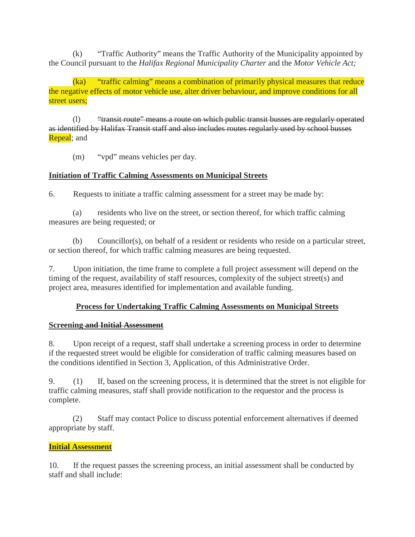(k) "Traffic Authority" means the Traffic Authority of the Municipality appointed by the Council pursuant to the *Halifax Regional Municipality Charter* and the *Motor Vehicle Act;*

(ka) "traffic calming" means a combination of primarily physical measures that reduce the negative effects of motor vehicle use, alter driver behaviour, and improve conditions for all street users;

(l) "transit route" means a route on which public transit busses are regularly operated as identified by Halifax Transit staff and also includes routes regularly used by school busses **Repeal**; and

(m) "vpd" means vehicles per day.

## **Initiation of Traffic Calming Assessments on Municipal Streets**

6. Requests to initiate a traffic calming assessment for a street may be made by:

(a) residents who live on the street, or section thereof, for which traffic calming measures are being requested; or

(b) Councillor(s), on behalf of a resident or residents who reside on a particular street, or section thereof, for which traffic calming measures are being requested.

7. Upon initiation, the time frame to complete a full project assessment will depend on the timing of the request, availability of staff resources, complexity of the subject street(s) and project area, measures identified for implementation and available funding.

## **Process for Undertaking Traffic Calming Assessments on Municipal Streets**

## **Screening and Initial Assessment**

8. Upon receipt of a request, staff shall undertake a screening process in order to determine if the requested street would be eligible for consideration of traffic calming measures based on the conditions identified in Section 3, Application, of this Administrative Order.

9. (1) If, based on the screening process, it is determined that the street is not eligible for traffic calming measures, staff shall provide notification to the requestor and the process is complete.

(2) Staff may contact Police to discuss potential enforcement alternatives if deemed appropriate by staff.

## **Initial Assessment**

10. If the request passes the screening process, an initial assessment shall be conducted by staff and shall include: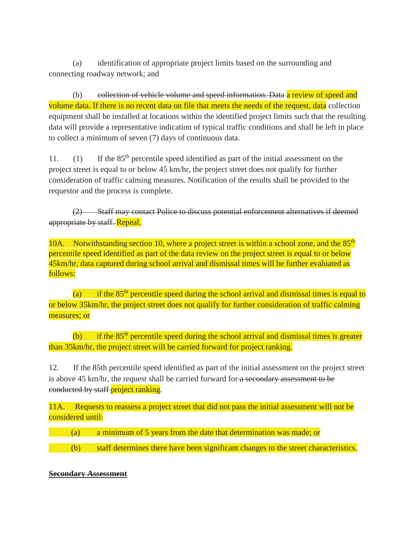(a) identification of appropriate project limits based on the surrounding and connecting roadway network; and

(b) collection of vehicle volume and speed information. Data a review of speed and volume data. If there is no recent data on file that meets the needs of the request, data collection equipment shall be installed at locations within the identified project limits such that the resulting data will provide a representative indication of typical traffic conditions and shall be left in place to collect a minimum of seven (7) days of continuous data.

11. (1) If the 85th percentile speed identified as part of the initial assessment on the project street is equal to or below 45 km/hr, the project street does not qualify for further consideration of traffic calming measures. Notification of the results shall be provided to the requestor and the process is complete.

(2) Staff may contact Police to discuss potential enforcement alternatives if deemed appropriate by staff. Repeal.

10A. Notwithstanding section 10, where a project street is within a school zone, and the 85<sup>th</sup> percentile speed identified as part of the data review on the project street is equal to or below 45km/hr, data captured during school arrival and dismissal times will be further evaluated as follows:

(a) if the  $85<sup>th</sup>$  percentile speed during the school arrival and dismissal times is equal to or below 35km/hr, the project street does not qualify for further consideration of traffic calming measures; or

(b) if the  $85<sup>th</sup>$  percentile speed during the school arrival and dismissal times is greater than 35km/hr, the project street will be carried forward for project ranking.

12. If the 85th percentile speed identified as part of the initial assessment on the project street is above 45 km/hr, the request shall be carried forward for a secondary assessment to be conducted by staff project ranking.

11A. Requests to reassess a project street that did not pass the initial assessment will not be considered until:

- (a) a minimum of 5 years from the date that determination was made; or
- (b) staff determines there have been significant changes to the street characteristics.

## **Secondary Assessment**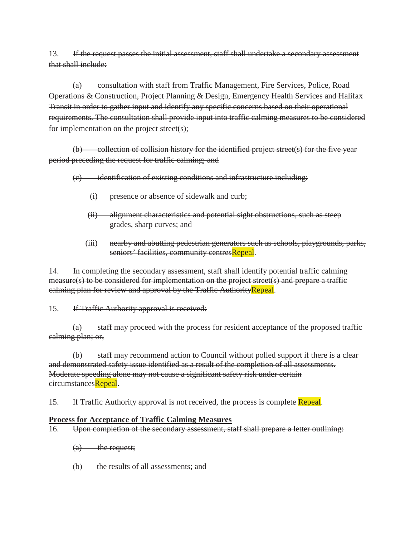13. If the request passes the initial assessment, staff shall undertake a secondary assessment that shall include:

(a) consultation with staff from Traffic Management, Fire Services, Police, Road Operations & Construction, Project Planning & Design, Emergency Health Services and Halifax Transit in order to gather input and identify any specific concerns based on their operational requirements. The consultation shall provide input into traffic calming measures to be considered for implementation on the project street(s);

 $(b)$  collection of collision history for the identified project street(s) for the five year period preceding the request for traffic calming; and

(c) identification of existing conditions and infrastructure including:

- (i) presence or absence of sidewalk and curb;
- (ii) alignment characteristics and potential sight obstructions, such as steep grades, sharp curves; and
- (iii) nearby and abutting pedestrian generators such as schools, playgrounds, parks, seniors' facilities, community centresRepeal.

14. In completing the secondary assessment, staff shall identify potential traffic calming measure(s) to be considered for implementation on the project street(s) and prepare a traffic calming plan for review and approval by the Traffic Authority Repeal.

15. If Traffic Authority approval is received:

(a) staff may proceed with the process for resident acceptance of the proposed traffic calming plan; or,

(b) staff may recommend action to Council without polled support if there is a clear and demonstrated safety issue identified as a result of the completion of all assessments. Moderate speeding alone may not cause a significant safety risk under certain circumstancesRepeal.

15. If Traffic Authority approval is not received, the process is complete Repeal.

### **Process for Acceptance of Traffic Calming Measures**

16. Upon completion of the secondary assessment, staff shall prepare a letter outlining:

- $(a)$  the request;
- (b) the results of all assessments; and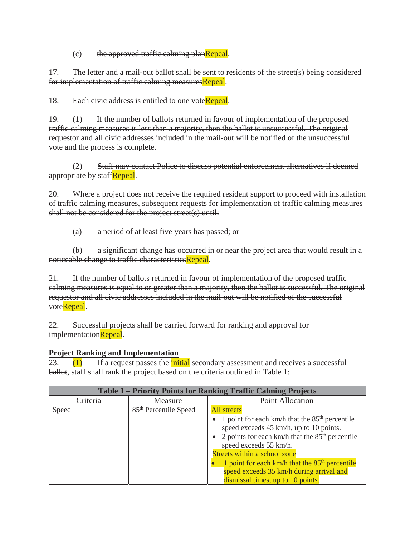$(c)$  the approved traffic calming planRepeal.

17. The letter and a mail-out ballot shall be sent to residents of the street(s) being considered for implementation of traffic calming measuresRepeal.

18. Each civic address is entitled to one voteRepeal.

19. (1) If the number of ballots returned in favour of implementation of the proposed traffic calming measures is less than a majority, then the ballot is unsuccessful. The original requestor and all civic addresses included in the mail-out will be notified of the unsuccessful vote and the process is complete.

(2) Staff may contact Police to discuss potential enforcement alternatives if deemed appropriate by staffRepeal.

20. Where a project does not receive the required resident support to proceed with installation of traffic calming measures, subsequent requests for implementation of traffic calming measures shall not be considered for the project street(s) until:

(a) a period of at least five years has passed; or

(b) a significant change has occurred in or near the project area that would result in a noticeable change to traffic characteristicsRepeal.

21. If the number of ballots returned in favour of implementation of the proposed traffic calming measures is equal to or greater than a majority, then the ballot is successful. The original requestor and all civic addresses included in the mail-out will be notified of the successful voteRepeal.

22. Successful projects shall be carried forward for ranking and approval for implementationRepeal.

### **Project Ranking and Implementation**

23.  $(1)$  If a request passes the initial secondary assessment and receives a successful ballot, staff shall rank the project based on the criteria outlined in Table 1:

| Table 1 – Priority Points for Ranking Traffic Calming Projects |                                   |                                                                                                                                                                                                                                                                                                                                                                                   |  |
|----------------------------------------------------------------|-----------------------------------|-----------------------------------------------------------------------------------------------------------------------------------------------------------------------------------------------------------------------------------------------------------------------------------------------------------------------------------------------------------------------------------|--|
| Criteria                                                       | Measure                           | <b>Point Allocation</b>                                                                                                                                                                                                                                                                                                                                                           |  |
| Speed                                                          | 85 <sup>th</sup> Percentile Speed | <b>All</b> streets<br>1 point for each km/h that the $85th$ percentile<br>speed exceeds 45 km/h, up to 10 points.<br>• 2 points for each km/h that the $85th$ percentile<br>speed exceeds 55 km/h.<br>Streets within a school zone<br>1 point for each km/h that the 85 <sup>th</sup> percentile<br>speed exceeds 35 km/h during arrival and<br>dismissal times, up to 10 points. |  |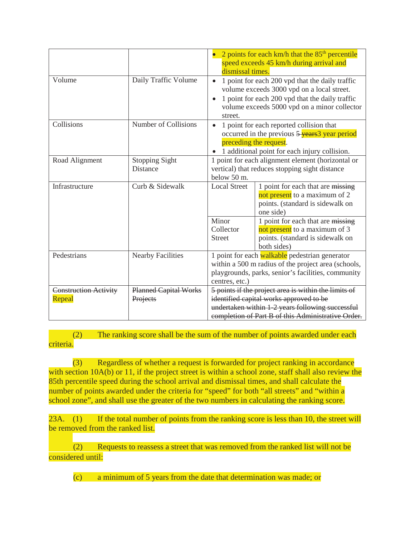|                                        |                                          | • 2 points for each km/h that the $85th$ percentile<br>speed exceeds 45 km/h during arrival and<br>dismissal times.                                                                                                      |                                                                                                                       |  |
|----------------------------------------|------------------------------------------|--------------------------------------------------------------------------------------------------------------------------------------------------------------------------------------------------------------------------|-----------------------------------------------------------------------------------------------------------------------|--|
| Volume                                 | Daily Traffic Volume                     | 1 point for each 200 vpd that the daily traffic<br>$\bullet$<br>volume exceeds 3000 vpd on a local street.<br>1 point for each 200 vpd that the daily traffic<br>volume exceeds 5000 vpd on a minor collector<br>street. |                                                                                                                       |  |
| Collisions                             | Number of Collisions                     | 1 point for each reported collision that<br>$\bullet$<br>occurred in the previous 5 years 3 year period<br>preceding the request.<br>• 1 additional point for each injury collision.                                     |                                                                                                                       |  |
| Road Alignment                         | <b>Stopping Sight</b><br>Distance        | 1 point for each alignment element (horizontal or<br>vertical) that reduces stopping sight distance<br>below 50 m.                                                                                                       |                                                                                                                       |  |
| Infrastructure                         | Curb & Sidewalk                          | <b>Local Street</b>                                                                                                                                                                                                      | 1 point for each that are missing<br>not present to a maximum of 2<br>points. (standard is sidewalk on<br>one side)   |  |
|                                        |                                          | Minor<br>Collector<br><b>Street</b>                                                                                                                                                                                      | 1 point for each that are missing<br>not present to a maximum of 3<br>points. (standard is sidewalk on<br>both sides) |  |
| Pedestrians                            | <b>Nearby Facilities</b>                 | 1 point for each walkable pedestrian generator<br>within a 500 m radius of the project area (schools,<br>playgrounds, parks, senior's facilities, community<br>centres, etc.)                                            |                                                                                                                       |  |
| <b>Construction Activity</b><br>Repeal | <b>Planned Capital Works</b><br>Projects | 5 points if the project area is within the limits of<br>identified capital works approved to be<br>undertaken within 1-2 years following successful<br>completion of Part B of this Administrative Order.                |                                                                                                                       |  |

(2) The ranking score shall be the sum of the number of points awarded under each criteria.

(3) Regardless of whether a request is forwarded for project ranking in accordance with section 10A(b) or 11, if the project street is within a school zone, staff shall also review the 85th percentile speed during the school arrival and dismissal times, and shall calculate the number of points awarded under the criteria for "speed" for both "all streets" and "within a school zone", and shall use the greater of the two numbers in calculating the ranking score.

23A. (1) If the total number of points from the ranking score is less than 10, the street will be removed from the ranked list.

(2) Requests to reassess a street that was removed from the ranked list will not be considered until:

(c) a minimum of 5 years from the date that determination was made; or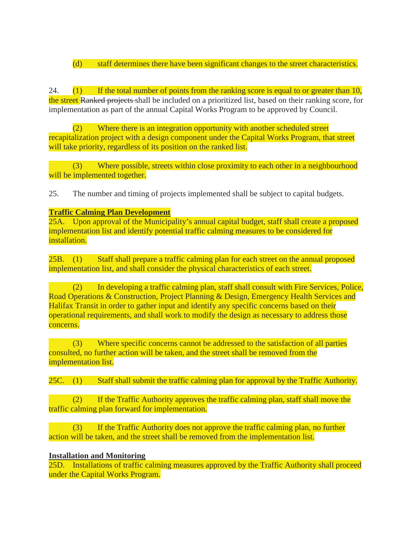(d) staff determines there have been significant changes to the street characteristics.

24.  $(1)$  If the total number of points from the ranking score is equal to or greater than 10, the street Ranked projects shall be included on a prioritized list, based on their ranking score, for implementation as part of the annual Capital Works Program to be approved by Council.

(2) Where there is an integration opportunity with another scheduled street recapitalization project with a design component under the Capital Works Program, that street will take priority, regardless of its position on the ranked list.

(3) Where possible, streets within close proximity to each other in a neighbourhood will be implemented together.

25. The number and timing of projects implemented shall be subject to capital budgets.

### **Traffic Calming Plan Development**

25A. Upon approval of the Municipality's annual capital budget, staff shall create a proposed implementation list and identify potential traffic calming measures to be considered for installation.

25B. (1) Staff shall prepare a traffic calming plan for each street on the annual proposed implementation list, and shall consider the physical characteristics of each street.

(2) In developing a traffic calming plan, staff shall consult with Fire Services, Police, Road Operations & Construction, Project Planning & Design, Emergency Health Services and Halifax Transit in order to gather input and identify any specific concerns based on their operational requirements, and shall work to modify the design as necessary to address those concerns.

(3) Where specific concerns cannot be addressed to the satisfaction of all parties consulted, no further action will be taken, and the street shall be removed from the implementation list.

25C. (1) Staff shall submit the traffic calming plan for approval by the Traffic Authority.

(2) If the Traffic Authority approves the traffic calming plan, staff shall move the traffic calming plan forward for implementation.

(3) If the Traffic Authority does not approve the traffic calming plan, no further action will be taken, and the street shall be removed from the implementation list.

### **Installation and Monitoring**

25D. Installations of traffic calming measures approved by the Traffic Authority shall proceed under the Capital Works Program.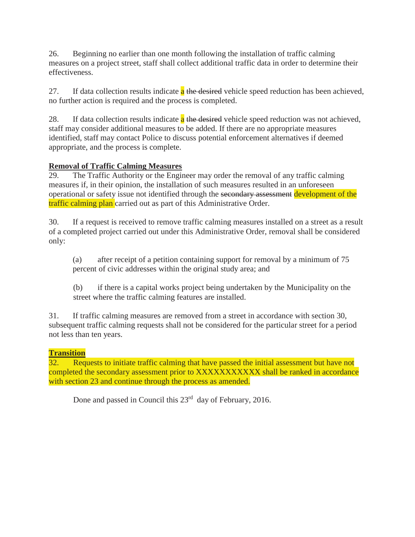26. Beginning no earlier than one month following the installation of traffic calming measures on a project street, staff shall collect additional traffic data in order to determine their effectiveness.

27. If data collection results indicate a the desired vehicle speed reduction has been achieved, no further action is required and the process is completed.

28. If data collection results indicate  $\alpha$  the desired vehicle speed reduction was not achieved, staff may consider additional measures to be added. If there are no appropriate measures identified, staff may contact Police to discuss potential enforcement alternatives if deemed appropriate, and the process is complete.

# **Removal of Traffic Calming Measures**

29. The Traffic Authority or the Engineer may order the removal of any traffic calming measures if, in their opinion, the installation of such measures resulted in an unforeseen operational or safety issue not identified through the secondary assessment development of the traffic calming plan carried out as part of this Administrative Order.

30. If a request is received to remove traffic calming measures installed on a street as a result of a completed project carried out under this Administrative Order, removal shall be considered only:

(a) after receipt of a petition containing support for removal by a minimum of 75 percent of civic addresses within the original study area; and

(b) if there is a capital works project being undertaken by the Municipality on the street where the traffic calming features are installed.

31. If traffic calming measures are removed from a street in accordance with section 30, subsequent traffic calming requests shall not be considered for the particular street for a period not less than ten years.

# **Transition**

32. Requests to initiate traffic calming that have passed the initial assessment but have not completed the secondary assessment prior to XXXXXXXXXXX shall be ranked in accordance with section 23 and continue through the process as amended.

Done and passed in Council this 23<sup>rd</sup> day of February, 2016.